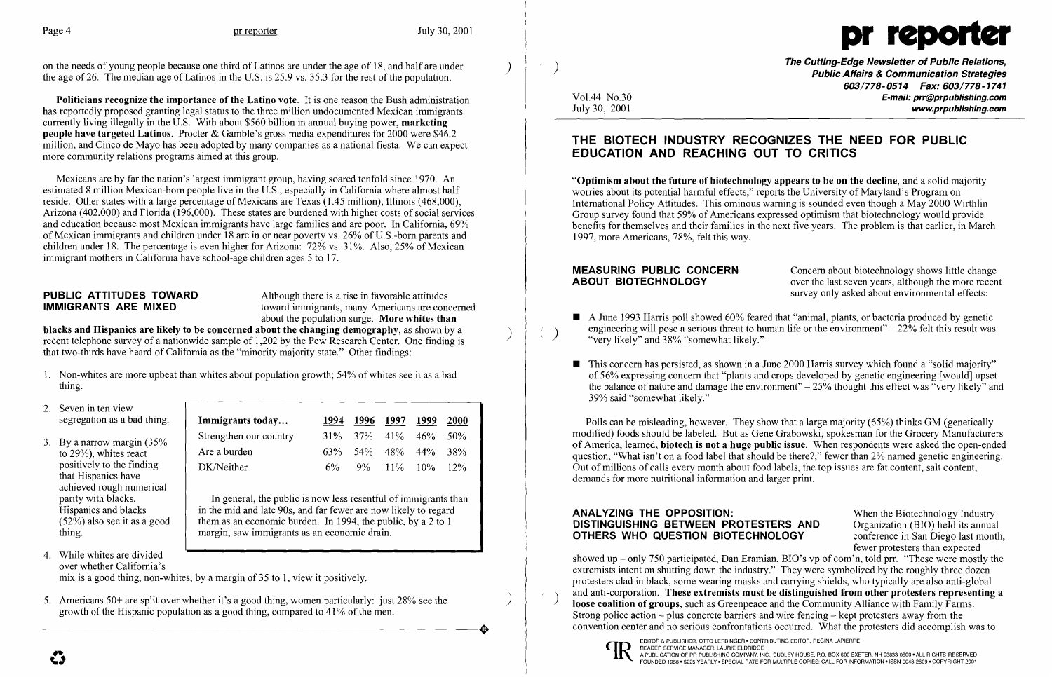on the needs of young people because one third of Latinos are under the age of 18, and half are under the age of 26. The median age of Latinos in the U.S. is 25.9 vs. 35.3 for the rest of the population.



Politicians recognize the importance of the Latino vote. It is one reason the Bush administration has reportedly proposed granting legal status to the three million undocumented Mexican immigrants currently living illegally in the U.S. With about \$560 billion in annual buying power, marketing people have targeted Latinos. Procter & Gamble's gross media expenditures for 2000 were \$46.2 million, and Cinco de Mayo has been adopted by many companies as a national fiesta. We can expect more community relations programs aimed at this group.

about the population surge. More whites than<br>blacks and Hispanics are likely to be concerned about the changing demography, as shown by a recent telephone survey of a nationwide sample of 1,202 by the Pew Research Center. One finding is that two-thirds have heard of California as the "minority majority state." Other findings:

Mexicans are by far the nation's largest immigrant group, having soared tenfold since 1970. An estimated 8 million Mexican-born people live in the U.S., especially in California where almost half reside. Other states with a large percentage of Mexicans are Texas (1.45 million), Illinois (468,000), Arizona (402,000) and Florida (196,000). These states are burdened with higher costs of social services and education because most Mexican immigrants have large families and are poor. In California, 69% of Mexican immigrants and children under 18 are in or near poverty vs. 26% of U.S.-born parents and children under 18. The percentage is even higher for Arizona:  $72\%$  vs.  $31\%$ . Also,  $25\%$  of Mexican immigrant mothers in California have school-age children ages 5 to 17.

**PUBLIC ATTITUDES TOWARD** Although there is a rise in favorable attitudes<br> **IMMIGRANTS ARE MIXED** toward immigrants, many Americans are cone toward immigrants, many Americans are concerned **MEASURING PUBLIC CONCERN** Concern about biotechnology shows little change<br> **ABOUT BIOTECHNOLOGY** over the last seven years, although the more recen over the last seven years, although the more recent survey only asked about environmental effects:

 $\blacksquare$  A June 1993 Harris poll showed 60% feared that "animal, plants, or bacteria produced by genetic

 $\blacksquare$  This concern has persisted, as shown in a June 2000 Harris survey which found a "solid majority" of 56% expressing concern that "plants and crops developed by genetic engineering [would] upset the balance of nature and damage the environment" $-25%$  thought this effect was "very likely" and

- 1. Non-whites are more upbeat than whites about population growth; 54% of whites see it as a bad thing.
- 2. Seven in ten view segregation as a bad thing.
- 3. By a narrow margin (35% to 29%), whites react positively to the finding that Hispanics have achieved rough numerical parity with blacks. Hispanics and blacks (52%) also see it as a good thing.
- engineering will pose a serious threat to human life or the environment"  $-22\%$  felt this result was "very likely" and 38% "somewhat likely."
- 39% said "somewhat likely."

| Immigrants today       | 1994  | 1996 1997 1999              | <b>2000</b> |
|------------------------|-------|-----------------------------|-------------|
| Strengthen our country |       | $31\%$ $37\%$ $41\%$ $46\%$ | .50%        |
| Are a burden           |       | $63\%$ 54\% 48\% 44\% 38\%  |             |
| DK/Neither             | $6\%$ | $9\%$ 11% 10%               | $12\%$      |

### ANALYZING THE OPPOSITION: When the Biotechnology Industry DISTINGUISHING BETWEEN PROTESTERS AND Organization (BIO) held its annual **OTHERS WHO QUESTION BIOTECHNOLOGY** conference in San Diego last month,

showed up – only 750 participated, Dan Eramian, BIO's vp of com'n, told prr. "These were mostly the extremists intent on shutting down the industry." They were symbolized by the roughly three dozen protesters clad in black, some wearing masks and carrying shields, who typically are also anti-global 5. Americans 50+ are split over whether it's a good thing, women particularly: just 28% see the<br>growth of the Hispanic population as a good thing, compared to 41% of the men.<br>growth of the Hispanic population as a good th Strong police action – plus concrete barriers and wire fencing – kept protesters away from the 5. Americans 50+ are split over whether it's a good thing, women particularly: just 28% see the<br>growth of the Hispanic population as a good thing, compared to 41% of the men.<br>The second is convention of groups, such as Gre



- 4. While whites are divided over whether California's mix is a good thing, non-whites, by a margin of 35 to 1, view it positively.
- 

In general, the public is now less resentful of immigrants than in the mid and late 90s, and far fewer are now likely to regard them as an economic burden. In 1994, the public, by a 2 to 1 margin, saw immigrants as an economic drain.

) The Cutting-Edge Newsletter of Public Relations, Public Affairs & Communication Strategies *603/778-0514 Fax: 603/778-1741*  Vo1.44 No.30 E-mail: prr@prpubJishing.com July 30, 2001 www.prpubJishing.com

## THE BIOTECH INDUSTRY RECOGNIZES THE NEED FOR PUBLIC EDUCATION AND REACHING OUT TO CRITICS

"Optimism about the future of biotechnology appears to be on the decline, and a solid majority worries about its potential harmful effects," reports the University of Maryland's Program on International Policy Attitudes. This ominous warning is sounded even though a May 2000 Wirthlin Group survey found that 59% of Americans expressed optimism that biotechnology would provide benefits for themselves and their families in the next five years. The problem is that earlier, in March 1997, more Americans, 78%, felt this way.

Polls can be misleading, however. They show that a large majority (65%) thinks GM (genetically modified) foods should be labeled. But as Gene Grabowski, spokesman for the Grocery Manufacturers of America, learned, biotech is not a huge public issue. When respondents were asked the open-ended question, "What isn't on a food label that should be there?," fewer than 2% named genetic engineering. Out of millions of calls every month about food labels, the top issues are fat content, salt content, demands for more nutritional information and larger print.

fewer protesters than expected